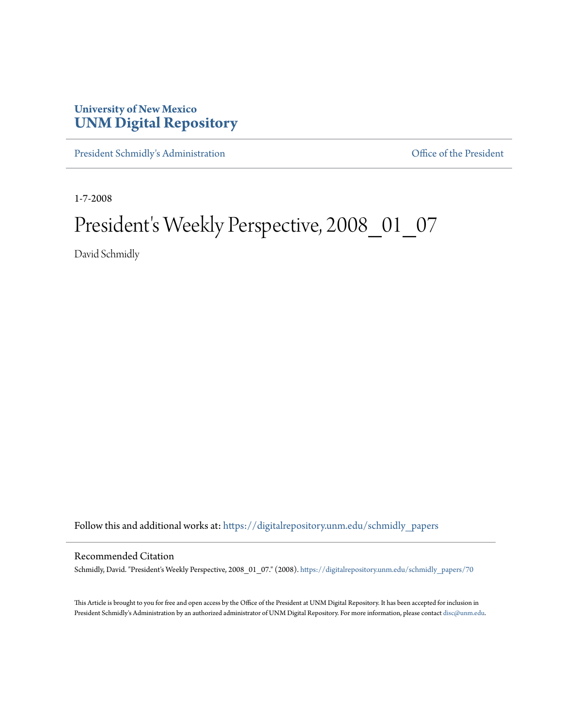## **University of New Mexico [UNM Digital Repository](https://digitalrepository.unm.edu?utm_source=digitalrepository.unm.edu%2Fschmidly_papers%2F70&utm_medium=PDF&utm_campaign=PDFCoverPages)**

[President Schmidly's Administration](https://digitalrepository.unm.edu/schmidly_papers?utm_source=digitalrepository.unm.edu%2Fschmidly_papers%2F70&utm_medium=PDF&utm_campaign=PDFCoverPages) [Office of the President](https://digitalrepository.unm.edu/ofc_president?utm_source=digitalrepository.unm.edu%2Fschmidly_papers%2F70&utm_medium=PDF&utm_campaign=PDFCoverPages)

1-7-2008

## President's Weekly Perspective, 2008\_01\_07

David Schmidly

Follow this and additional works at: [https://digitalrepository.unm.edu/schmidly\\_papers](https://digitalrepository.unm.edu/schmidly_papers?utm_source=digitalrepository.unm.edu%2Fschmidly_papers%2F70&utm_medium=PDF&utm_campaign=PDFCoverPages)

## Recommended Citation

Schmidly, David. "President's Weekly Perspective, 2008\_01\_07." (2008). [https://digitalrepository.unm.edu/schmidly\\_papers/70](https://digitalrepository.unm.edu/schmidly_papers/70?utm_source=digitalrepository.unm.edu%2Fschmidly_papers%2F70&utm_medium=PDF&utm_campaign=PDFCoverPages)

This Article is brought to you for free and open access by the Office of the President at UNM Digital Repository. It has been accepted for inclusion in President Schmidly's Administration by an authorized administrator of UNM Digital Repository. For more information, please contact [disc@unm.edu](mailto:disc@unm.edu).